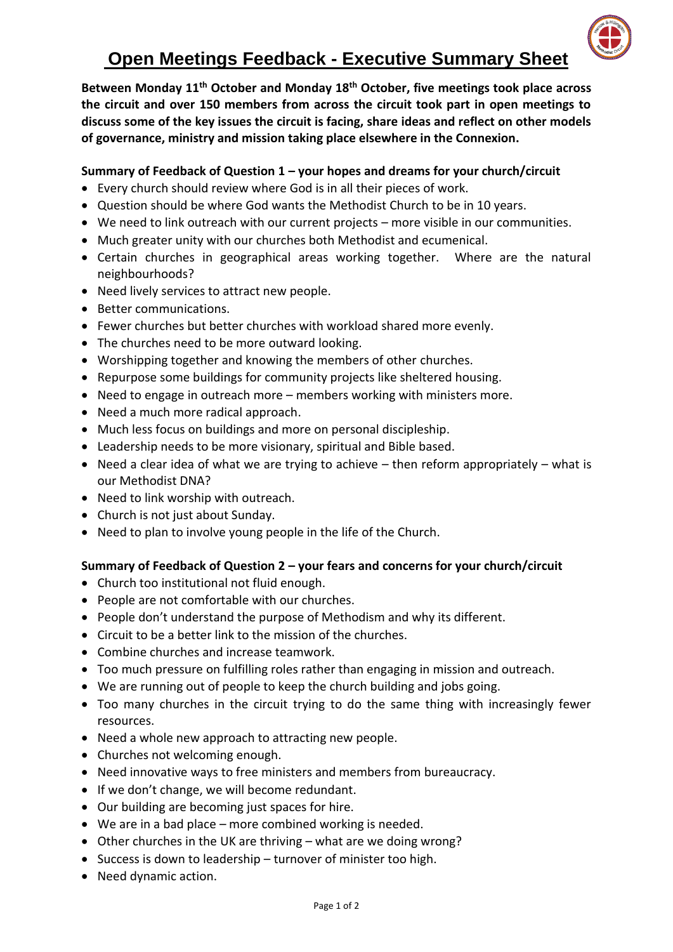

# **Open Meetings Feedback - Executive Summary Sheet**

**Between Monday 11th October and Monday 18th October, five meetings took place across the circuit and over 150 members from across the circuit took part in open meetings to discuss some of the key issues the circuit is facing, share ideas and reflect on other models of governance, ministry and mission taking place elsewhere in the Connexion.** 

# **Summary of Feedback of Question 1 – your hopes and dreams for your church/circuit**

- Every church should review where God is in all their pieces of work.
- Question should be where God wants the Methodist Church to be in 10 years.
- We need to link outreach with our current projects more visible in our communities.
- Much greater unity with our churches both Methodist and ecumenical.
- Certain churches in geographical areas working together. Where are the natural neighbourhoods?
- Need lively services to attract new people.
- Better communications.
- Fewer churches but better churches with workload shared more evenly.
- The churches need to be more outward looking.
- Worshipping together and knowing the members of other churches.
- Repurpose some buildings for community projects like sheltered housing.
- Need to engage in outreach more members working with ministers more.
- Need a much more radical approach.
- Much less focus on buildings and more on personal discipleship.
- Leadership needs to be more visionary, spiritual and Bible based.
- Need a clear idea of what we are trying to achieve  $-$  then reform appropriately  $-$  what is our Methodist DNA?
- Need to link worship with outreach.
- Church is not just about Sunday.
- Need to plan to involve young people in the life of the Church.

## **Summary of Feedback of Question 2 – your fears and concerns for your church/circuit**

- Church too institutional not fluid enough.
- People are not comfortable with our churches.
- People don't understand the purpose of Methodism and why its different.
- Circuit to be a better link to the mission of the churches.
- Combine churches and increase teamwork.
- Too much pressure on fulfilling roles rather than engaging in mission and outreach.
- We are running out of people to keep the church building and jobs going.
- Too many churches in the circuit trying to do the same thing with increasingly fewer resources.
- Need a whole new approach to attracting new people.
- Churches not welcoming enough.
- Need innovative ways to free ministers and members from bureaucracy.
- If we don't change, we will become redundant.
- Our building are becoming just spaces for hire.
- We are in a bad place more combined working is needed.
- Other churches in the UK are thriving what are we doing wrong?
- Success is down to leadership turnover of minister too high.
- Need dynamic action.